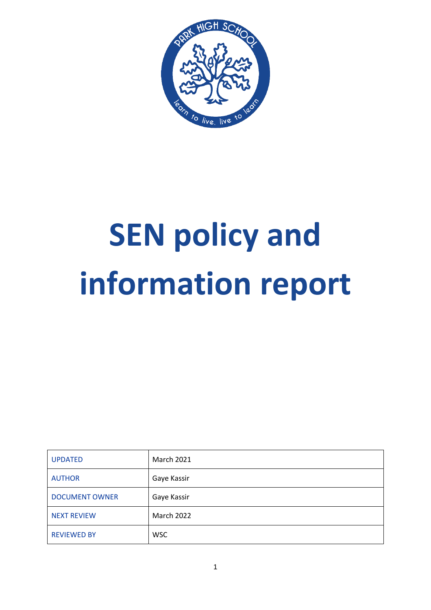

# **SEN policy and information report**

| <b>UPDATED</b>        | <b>March 2021</b> |
|-----------------------|-------------------|
| <b>AUTHOR</b>         | Gaye Kassir       |
| <b>DOCUMENT OWNER</b> | Gaye Kassir       |
| <b>NEXT REVIEW</b>    | <b>March 2022</b> |
| <b>REVIEWED BY</b>    | <b>WSC</b>        |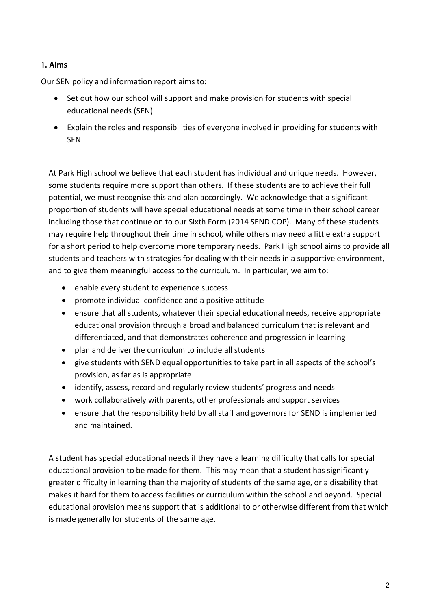## 1. Aims

Our SEN policy and information report aims to:

- Set out how our school will support and make provision for students with special educational needs (SEN)
- Explain the roles and responsibilities of everyone involved in providing for students with SEN

At Park High school we believe that each student has individual and unique needs. However, some students require more support than others. If these students are to achieve their full potential, we must recognise this and plan accordingly. We acknowledge that a significant proportion of students will have special educational needs at some time in their school career including those that continue on to our Sixth Form (2014 SEND COP). Many of these students may require help throughout their time in school, while others may need a little extra support for a short period to help overcome more temporary needs. Park High school aims to provide all students and teachers with strategies for dealing with their needs in a supportive environment, and to give them meaningful access to the curriculum. In particular, we aim to:

- enable every student to experience success
- promote individual confidence and a positive attitude
- ensure that all students, whatever their special educational needs, receive appropriate educational provision through a broad and balanced curriculum that is relevant and differentiated, and that demonstrates coherence and progression in learning
- plan and deliver the curriculum to include all students
- give students with SEND equal opportunities to take part in all aspects of the school's provision, as far as is appropriate
- identify, assess, record and regularly review students' progress and needs
- work collaboratively with parents, other professionals and support services
- ensure that the responsibility held by all staff and governors for SEND is implemented and maintained.

A student has special educational needs if they have a learning difficulty that calls for special educational provision to be made for them. This may mean that a student has significantly greater difficulty in learning than the majority of students of the same age, or a disability that makes it hard for them to access facilities or curriculum within the school and beyond. Special educational provision means support that is additional to or otherwise different from that which is made generally for students of the same age.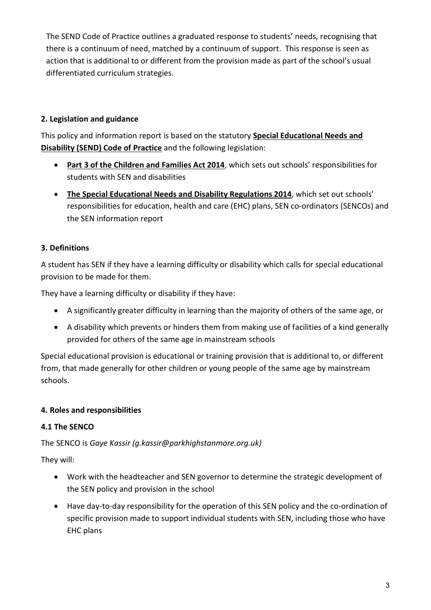The SEND Code of Practice outlines a graduated response to students' needs, recognising that there is a continuum of need, matched by a continuum of support. This response is seen as action that is additional to or different from the provision made as part of the school's usual differentiated curriculum strategies.

# 2. Legislation and guidance

This policy and information report is based on the statutory Special Educational Needs and Disability (SEND) Code of Practice and the following legislation:

- Part 3 of the Children and Families Act 2014, which sets out schools' responsibilities for students with SEN and disabilities
- The Special Educational Needs and Disability Regulations 2014, which set out schools' responsibilities for education, health and care (EHC) plans, SEN co-ordinators (SENCOs) and the SEN information report

# 3. Definitions

A student has SEN if they have a learning difficulty or disability which calls for special educational provision to be made for them.

They have a learning difficulty or disability if they have:

- A significantly greater difficulty in learning than the majority of others of the same age, or
- A disability which prevents or hinders them from making use of facilities of a kind generally provided for others of the same age in mainstream schools

Special educational provision is educational or training provision that is additional to, or different from, that made generally for other children or young people of the same age by mainstream schools.

# 4. Roles and responsibilities

# 4.1 The SENCO

# The SENCO is Gaye Kassir (g.kassir@parkhighstanmore.org.uk)

They will:

- Work with the headteacher and SEN governor to determine the strategic development of the SEN policy and provision in the school
- Have day-to-day responsibility for the operation of this SEN policy and the co-ordination of specific provision made to support individual students with SEN, including those who have EHC plans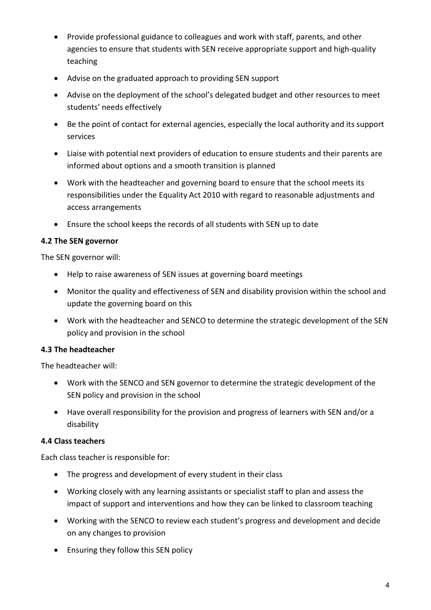- Provide professional guidance to colleagues and work with staff, parents, and other agencies to ensure that students with SEN receive appropriate support and high-quality teaching
- Advise on the graduated approach to providing SEN support
- Advise on the deployment of the school's delegated budget and other resources to meet students' needs effectively
- Be the point of contact for external agencies, especially the local authority and its support services
- Liaise with potential next providers of education to ensure students and their parents are informed about options and a smooth transition is planned
- Work with the headteacher and governing board to ensure that the school meets its responsibilities under the Equality Act 2010 with regard to reasonable adjustments and access arrangements
- Ensure the school keeps the records of all students with SEN up to date

## 4.2 The SEN governor

The SEN governor will:

- Help to raise awareness of SEN issues at governing board meetings
- Monitor the quality and effectiveness of SEN and disability provision within the school and update the governing board on this
- Work with the headteacher and SENCO to determine the strategic development of the SEN policy and provision in the school

# 4.3 The headteacher

The headteacher will:

- Work with the SENCO and SEN governor to determine the strategic development of the SEN policy and provision in the school
- Have overall responsibility for the provision and progress of learners with SEN and/or a disability

## 4.4 Class teachers

Each class teacher is responsible for:

- The progress and development of every student in their class
- Working closely with any learning assistants or specialist staff to plan and assess the impact of support and interventions and how they can be linked to classroom teaching
- Working with the SENCO to review each student's progress and development and decide on any changes to provision
- Ensuring they follow this SEN policy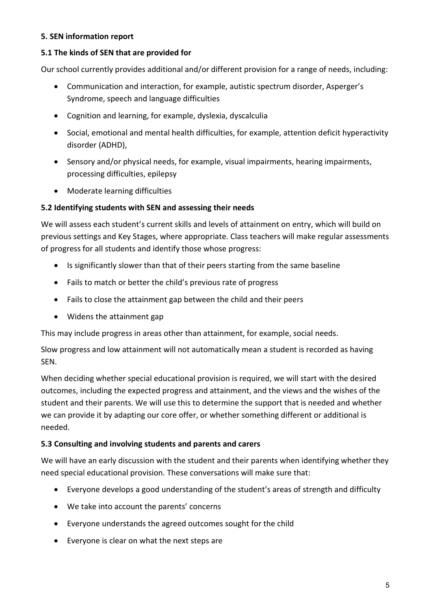## 5. SEN information report

## 5.1 The kinds of SEN that are provided for

Our school currently provides additional and/or different provision for a range of needs, including:

- Communication and interaction, for example, autistic spectrum disorder, Asperger's Syndrome, speech and language difficulties
- Cognition and learning, for example, dyslexia, dyscalculia
- Social, emotional and mental health difficulties, for example, attention deficit hyperactivity disorder (ADHD),
- Sensory and/or physical needs, for example, visual impairments, hearing impairments, processing difficulties, epilepsy
- Moderate learning difficulties

## 5.2 Identifying students with SEN and assessing their needs

We will assess each student's current skills and levels of attainment on entry, which will build on previous settings and Key Stages, where appropriate. Class teachers will make regular assessments of progress for all students and identify those whose progress:

- Is significantly slower than that of their peers starting from the same baseline
- Fails to match or better the child's previous rate of progress
- Fails to close the attainment gap between the child and their peers
- Widens the attainment gap

This may include progress in areas other than attainment, for example, social needs.

Slow progress and low attainment will not automatically mean a student is recorded as having SEN.

When deciding whether special educational provision is required, we will start with the desired outcomes, including the expected progress and attainment, and the views and the wishes of the student and their parents. We will use this to determine the support that is needed and whether we can provide it by adapting our core offer, or whether something different or additional is needed.

## 5.3 Consulting and involving students and parents and carers

We will have an early discussion with the student and their parents when identifying whether they need special educational provision. These conversations will make sure that:

- Everyone develops a good understanding of the student's areas of strength and difficulty
- We take into account the parents' concerns
- Everyone understands the agreed outcomes sought for the child
- Everyone is clear on what the next steps are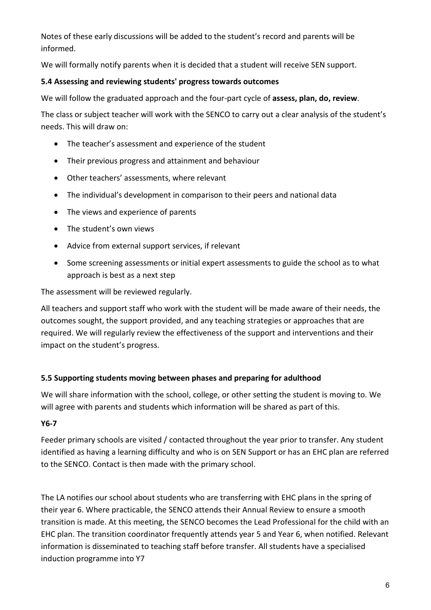Notes of these early discussions will be added to the student's record and parents will be informed.

We will formally notify parents when it is decided that a student will receive SEN support.

## 5.4 Assessing and reviewing students' progress towards outcomes

We will follow the graduated approach and the four-part cycle of assess, plan, do, review.

The class or subject teacher will work with the SENCO to carry out a clear analysis of the student's needs. This will draw on:

- The teacher's assessment and experience of the student
- Their previous progress and attainment and behaviour
- Other teachers' assessments, where relevant
- The individual's development in comparison to their peers and national data
- The views and experience of parents
- The student's own views
- Advice from external support services, if relevant
- Some screening assessments or initial expert assessments to guide the school as to what approach is best as a next step

The assessment will be reviewed regularly.

All teachers and support staff who work with the student will be made aware of their needs, the outcomes sought, the support provided, and any teaching strategies or approaches that are required. We will regularly review the effectiveness of the support and interventions and their impact on the student's progress.

## 5.5 Supporting students moving between phases and preparing for adulthood

We will share information with the school, college, or other setting the student is moving to. We will agree with parents and students which information will be shared as part of this.

# Y6-7

Feeder primary schools are visited / contacted throughout the year prior to transfer. Any student identified as having a learning difficulty and who is on SEN Support or has an EHC plan are referred to the SENCO. Contact is then made with the primary school.

The LA notifies our school about students who are transferring with EHC plans in the spring of their year 6. Where practicable, the SENCO attends their Annual Review to ensure a smooth transition is made. At this meeting, the SENCO becomes the Lead Professional for the child with an EHC plan. The transition coordinator frequently attends year 5 and Year 6, when notified. Relevant information is disseminated to teaching staff before transfer. All students have a specialised induction programme into Y7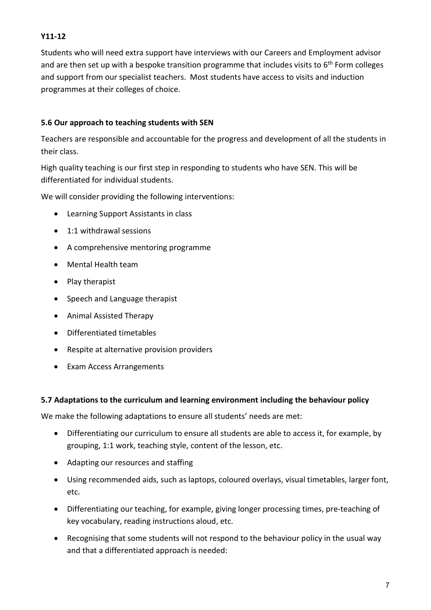# Y11-12

Students who will need extra support have interviews with our Careers and Employment advisor and are then set up with a bespoke transition programme that includes visits to 6<sup>th</sup> Form colleges and support from our specialist teachers. Most students have access to visits and induction programmes at their colleges of choice.

# 5.6 Our approach to teaching students with SEN

Teachers are responsible and accountable for the progress and development of all the students in their class.

High quality teaching is our first step in responding to students who have SEN. This will be differentiated for individual students.

We will consider providing the following interventions:

- Learning Support Assistants in class
- 1:1 withdrawal sessions
- A comprehensive mentoring programme
- Mental Health team
- $\bullet$  Play therapist
- Speech and Language therapist
- Animal Assisted Therapy
- Differentiated timetables
- Respite at alternative provision providers
- Exam Access Arrangements

## 5.7 Adaptations to the curriculum and learning environment including the behaviour policy

We make the following adaptations to ensure all students' needs are met:

- Differentiating our curriculum to ensure all students are able to access it, for example, by grouping, 1:1 work, teaching style, content of the lesson, etc.
- Adapting our resources and staffing
- Using recommended aids, such as laptops, coloured overlays, visual timetables, larger font, etc.
- Differentiating our teaching, for example, giving longer processing times, pre-teaching of key vocabulary, reading instructions aloud, etc.
- Recognising that some students will not respond to the behaviour policy in the usual way and that a differentiated approach is needed: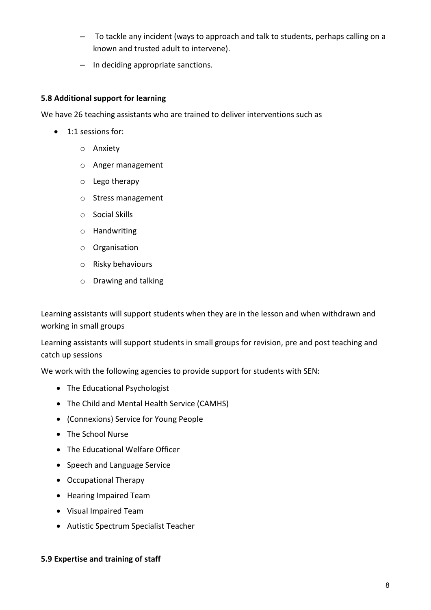- To tackle any incident (ways to approach and talk to students, perhaps calling on a known and trusted adult to intervene).
- In deciding appropriate sanctions.

## 5.8 Additional support for learning

We have 26 teaching assistants who are trained to deliver interventions such as

- 1:1 sessions for:
	- o Anxiety
	- o Anger management
	- o Lego therapy
	- o Stress management
	- o Social Skills
	- o Handwriting
	- o Organisation
	- o Risky behaviours
	- o Drawing and talking

Learning assistants will support students when they are in the lesson and when withdrawn and working in small groups

Learning assistants will support students in small groups for revision, pre and post teaching and catch up sessions

We work with the following agencies to provide support for students with SEN:

- The Educational Psychologist
- The Child and Mental Health Service (CAMHS)
- (Connexions) Service for Young People
- The School Nurse
- The Educational Welfare Officer
- Speech and Language Service
- Occupational Therapy
- Hearing Impaired Team
- Visual Impaired Team
- Autistic Spectrum Specialist Teacher

#### 5.9 Expertise and training of staff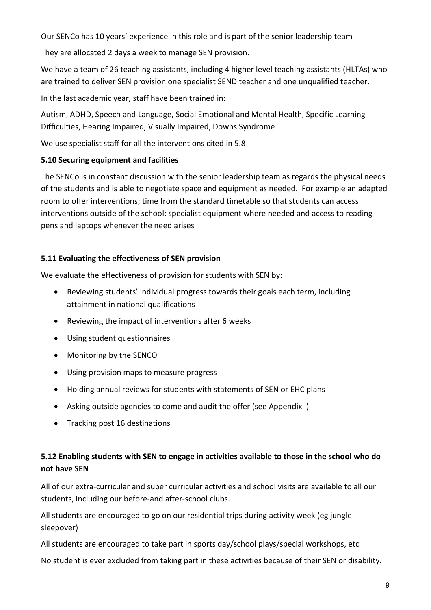Our SENCo has 10 years' experience in this role and is part of the senior leadership team

They are allocated 2 days a week to manage SEN provision.

We have a team of 26 teaching assistants, including 4 higher level teaching assistants (HLTAs) who are trained to deliver SEN provision one specialist SEND teacher and one unqualified teacher.

In the last academic year, staff have been trained in:

Autism, ADHD, Speech and Language, Social Emotional and Mental Health, Specific Learning Difficulties, Hearing Impaired, Visually Impaired, Downs Syndrome

We use specialist staff for all the interventions cited in 5.8

## 5.10 Securing equipment and facilities

The SENCo is in constant discussion with the senior leadership team as regards the physical needs of the students and is able to negotiate space and equipment as needed. For example an adapted room to offer interventions; time from the standard timetable so that students can access interventions outside of the school; specialist equipment where needed and access to reading pens and laptops whenever the need arises

## 5.11 Evaluating the effectiveness of SEN provision

We evaluate the effectiveness of provision for students with SEN by:

- Reviewing students' individual progress towards their goals each term, including attainment in national qualifications
- Reviewing the impact of interventions after 6 weeks
- Using student questionnaires
- Monitoring by the SENCO
- Using provision maps to measure progress
- Holding annual reviews for students with statements of SEN or EHC plans
- Asking outside agencies to come and audit the offer (see Appendix I)
- Tracking post 16 destinations

# 5.12 Enabling students with SEN to engage in activities available to those in the school who do not have SEN

All of our extra-curricular and super curricular activities and school visits are available to all our students, including our before-and after-school clubs.

All students are encouraged to go on our residential trips during activity week (eg jungle sleepover)

All students are encouraged to take part in sports day/school plays/special workshops, etc

No student is ever excluded from taking part in these activities because of their SEN or disability.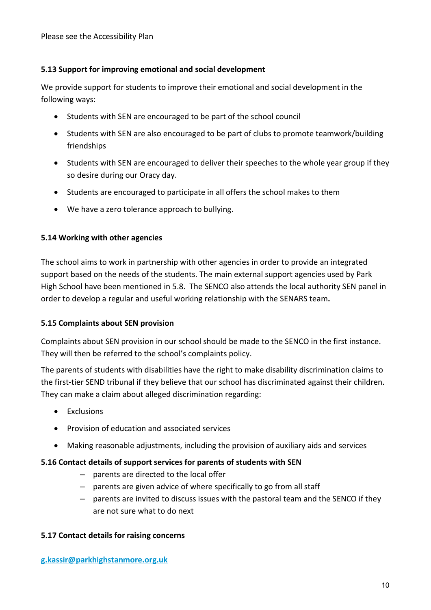## 5.13 Support for improving emotional and social development

We provide support for students to improve their emotional and social development in the following ways:

- Students with SEN are encouraged to be part of the school council
- Students with SEN are also encouraged to be part of clubs to promote teamwork/building friendships
- Students with SEN are encouraged to deliver their speeches to the whole year group if they so desire during our Oracy day.
- Students are encouraged to participate in all offers the school makes to them
- We have a zero tolerance approach to bullying.

## 5.14 Working with other agencies

The school aims to work in partnership with other agencies in order to provide an integrated support based on the needs of the students. The main external support agencies used by Park High School have been mentioned in 5.8. The SENCO also attends the local authority SEN panel in order to develop a regular and useful working relationship with the SENARS team.

## 5.15 Complaints about SEN provision

Complaints about SEN provision in our school should be made to the SENCO in the first instance. They will then be referred to the school's complaints policy.

The parents of students with disabilities have the right to make disability discrimination claims to the first-tier SEND tribunal if they believe that our school has discriminated against their children. They can make a claim about alleged discrimination regarding:

- Exclusions
- Provision of education and associated services
- Making reasonable adjustments, including the provision of auxiliary aids and services

## 5.16 Contact details of support services for parents of students with SEN

- parents are directed to the local offer
- parents are given advice of where specifically to go from all staff
- parents are invited to discuss issues with the pastoral team and the SENCO if they are not sure what to do next

## 5.17 Contact details for raising concerns